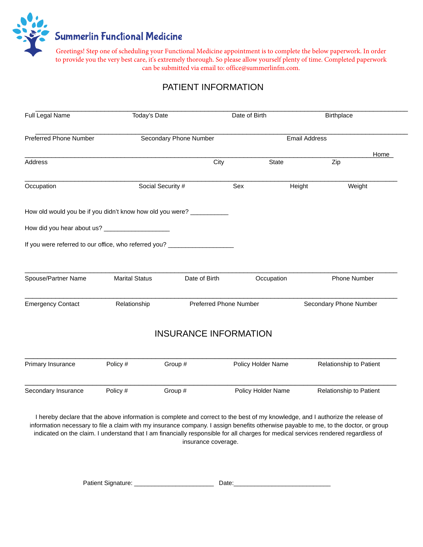

Greetings! Step one of scheduling your Functional Medicine appointment is to complete the below paperwork. In order to provide you the very best care, it's extremely thorough. So please allow yourself plenty of time. Completed paperwork can be submitted via email to: office@summerlinfm.com.

## PATIENT INFORMATION

|                                                                | Full Legal Name<br>Today's Date |                              | Date of Birth      | <b>Birthplace</b>       |      |
|----------------------------------------------------------------|---------------------------------|------------------------------|--------------------|-------------------------|------|
| <b>Preferred Phone Number</b>                                  |                                 | Secondary Phone Number       |                    | <b>Email Address</b>    |      |
|                                                                |                                 |                              |                    |                         | Home |
| Address                                                        |                                 | City                         | <b>State</b>       | Zip                     |      |
| Occupation                                                     | Social Security #               |                              | Sex                | Height<br>Weight        |      |
| How old would you be if you didn't know how old you were? ____ |                                 |                              |                    |                         |      |
|                                                                |                                 |                              |                    |                         |      |
| If you were referred to our office, who referred you?          |                                 |                              |                    |                         |      |
|                                                                |                                 |                              |                    |                         |      |
| Spouse/Partner Name                                            | <b>Marital Status</b>           | Date of Birth                | Occupation         | Phone Number            |      |
|                                                                |                                 |                              |                    |                         |      |
| <b>Emergency Contact</b>                                       | Relationship                    | Preferred Phone Number       |                    | Secondary Phone Number  |      |
|                                                                |                                 | <b>INSURANCE INFORMATION</b> |                    |                         |      |
|                                                                |                                 |                              |                    |                         |      |
| Primary Insurance                                              | Policy #                        | Group #                      | Policy Holder Name | Relationship to Patient |      |

I hereby declare that the above information is complete and correct to the best of my knowledge, and I authorize the release of information necessary to file a claim with my insurance company. I assign benefits otherwise payable to me, to the doctor, or group indicated on the claim. I understand that I am financially responsible for all charges for medical services rendered regardless of insurance coverage.

Patient Signature: example and Date: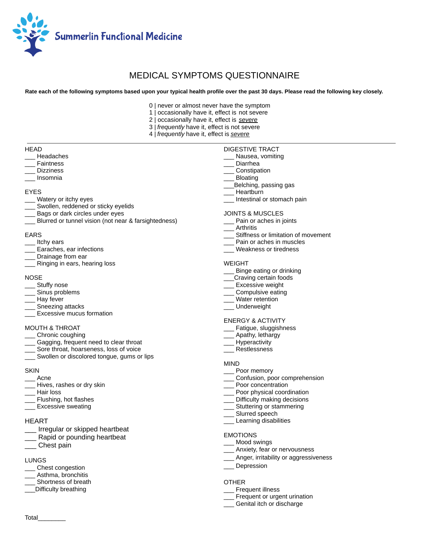

### MEDICAL SYMPTOMS QUESTIONNAIRE

 **Rate each of the following symptoms based upon your typical health profile over the past 30 days. Please read the following key closely.** 

- 0 | never or almost never have the symptom
- 1 | occasionally have it, effect is not severe
- 2 | occasionally have it, effect is *severe*
- 3 | *frequently* have it, effect is not severe
- 4 | *frequently* have it, effect is *severe*

#### **HEAD**

- \_\_\_ Headaches
- **Faintness**
- \_\_\_ Dizziness
- \_\_\_ Insomnia

### EYES

- \_\_\_ Watery or itchy eyes
- Swollen, reddened or sticky eyelids
- Bags or dark circles under eyes
- \_\_\_ Blurred or tunnel vision (not near & farsightedness)

### EARS

- Itchy ears
- \_\_\_ Earaches, ear infections
- Drainage from ear
- \_\_\_ Ringing in ears, hearing loss

### NOSE

- \_\_\_ Stuffy nose
- \_\_\_ Sinus problems
- \_\_\_ Hay fever
- Sneezing attacks
- **Excessive mucus formation**

### MOUTH & THROAT

- \_\_\_ Chronic coughing
- Gagging, frequent need to clear throat
- Sore throat, hoarseness, loss of voice
- Swollen or discolored tongue, gums or lips

### **SKIN**

- \_\_\_ Acne
- Hives, rashes or dry skin
- \_\_\_ Hair loss
- \_\_\_ Flushing, hot flashes
- \_\_\_ Excessive sweating

### **HEART**

- \_\_\_ Irregular or skipped heartbeat
- Rapid or pounding heartbeat
- \_\_\_ Chest pain

### LUNGS

- \_\_\_ Chest congestion
- \_\_\_ Asthma, bronchitis
- Shortness of breath
- \_\_\_Difficulty breathing

### DIGESTIVE TRACT

- Nausea, vomiting
- \_\_\_ Diarrhea
- \_\_\_ Constipation
- \_\_\_ Bloating
- \_\_\_Belching, passing gas
- \_\_\_ Heartburn
- \_\_\_ Intestinal or stomach pain

### JOINTS & MUSCLES

- Pain or aches in joints
- **Arthritis**
- Stiffness or limitation of movement
- Pain or aches in muscles
- \_\_\_ Weakness or tiredness

#### WEIGHT

- \_\_\_ Binge eating or drinking
- \_\_Craving certain foods
- \_\_\_ Excessive weight
- \_\_\_ Compulsive eating
- \_\_\_ Water retention
- \_\_\_ Underweight

#### ENERGY & ACTIVITY

- Fatigue, sluggishness
- Apathy, lethargy
- \_\_\_ Hyperactivity
- \_\_\_ Restlessness

### MIND

- \_\_\_ Poor memory
- \_\_\_ Confusion, poor comprehension
- Poor concentration
- Poor physical coordination
- Difficulty making decisions
- Stuttering or stammering
- Slurred speech
- \_\_\_ Learning disabilities

### EMOTIONS

- Mood swings
- Anxiety, fear or nervousness
- \_\_\_ Anger, irritability or aggressiveness
- **Depression**

### **OTHER**

- \_\_\_ Frequent illness
- \_\_\_ Frequent or urgent urination
- \_\_\_ Genital itch or discharge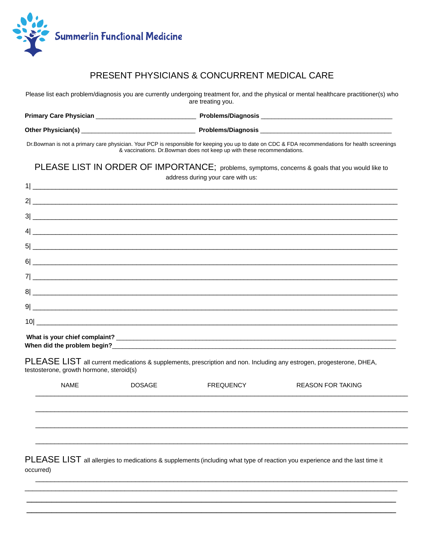

### PRESENT PHYSICIANS & CONCURRENT MEDICAL CARE

Please list each problem/diagnosis you are currently undergoing treatment for, and the physical or mental healthcare practitioner(s) who are treating you.

| <b>Primary Care Physician</b> | <b>Problems/Diagnosis</b> |
|-------------------------------|---------------------------|
| <b>Other Physician(s)</b>     | <b>Problems/Diagnosis</b> |

Dr. Bowman is not a primary care physician. Your PCP is responsible for keeping you up to date on CDC & FDA recommendations for health screenings & vaccinations. Dr.Bowman does not keep up with these recommendations.

PLEASE LIST IN ORDER OF IMPORTANCE; problems, symptoms, concerns & goals that you would like to address during your care with us:

| $\frac{4}{2}$   |  |
|-----------------|--|
|                 |  |
|                 |  |
|                 |  |
|                 |  |
| 9               |  |
| $\frac{10}{20}$ |  |
|                 |  |

When did the problem begin?<br>
Monday Assembly Problem begins and the problem begins and the problem of the problem of the problem of the pro

PLEASE LIST all current medications & supplements, prescription and non. Including any estrogen, progesterone, DHEA, testosterone, growth hormone, steroid(s)

| <b>NAME</b> | <b>DOSAGE</b> | <b>FREQUENCY</b> | <b>REASON FOR TAKING</b> |  |
|-------------|---------------|------------------|--------------------------|--|
|             |               |                  |                          |  |
|             |               |                  |                          |  |
|             |               |                  |                          |  |
|             |               |                  |                          |  |

PLEASE LIST all allergies to medications & supplements (including what type of reaction you experience and the last time it occurred)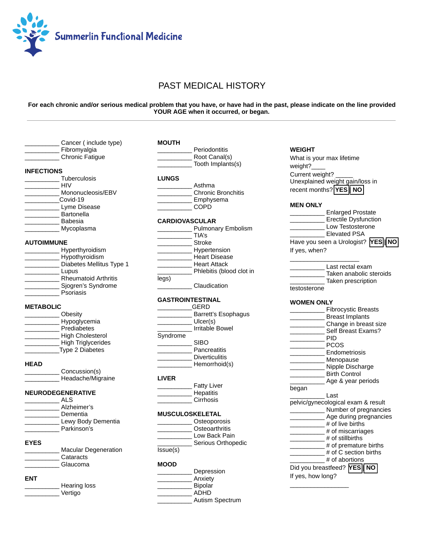

### PAST MEDICAL HISTORY

### **For each chronic and/or serious medical problem that you have, or have had in the past, please indicate on the line provided YOUR AGE when it occurred, or began.**

|                   | Cancer (include type)       | <b>MOUTH</b>          |                                    |
|-------------------|-----------------------------|-----------------------|------------------------------------|
|                   | Fibromyalgia                |                       | Periodontitis                      |
|                   | <b>Chronic Fatigue</b>      |                       | Root Canal(s)<br>Tooth Implants(s) |
| <b>INFECTIONS</b> |                             |                       |                                    |
|                   | <b>Tuberculosis</b>         | <b>LUNGS</b>          |                                    |
|                   | <b>HIV</b>                  |                       | Asthma                             |
|                   | Mononucleosis/EBV           |                       | <b>Chronic Bronchitis</b>          |
|                   | Covid-19                    |                       | Emphysema                          |
|                   | Lyme Disease                |                       | <b>COPD</b>                        |
|                   | Bartonella                  |                       |                                    |
|                   | <b>Babesia</b>              | <b>CARDIOVASCULAR</b> |                                    |
|                   | Mycoplasma                  |                       | Pulmonary Embolism                 |
|                   |                             |                       | TIA's                              |
| <b>AUTOIMMUNE</b> |                             |                       | Stroke                             |
|                   | Hyperthyroidism             |                       | _Hypertension                      |
|                   | Hypothyroidism              |                       | <b>Heart Disease</b>               |
|                   | Diabetes Mellitus Type 1    |                       | <b>Heart Attack</b>                |
|                   | Lupus                       |                       | Phlebitis (blood clot in           |
|                   | <b>Rheumatoid Arthritis</b> | legs)                 |                                    |
|                   | Sjogren's Syndrome          |                       | Claudication                       |
|                   | <b>Psoriasis</b>            |                       |                                    |
|                   |                             |                       | <b>GASTROINTESTINAL</b>            |
| <b>METABOLIC</b>  |                             |                       | <b>GERD</b>                        |
|                   | Obesity                     |                       | Barrett's Esophagus                |
|                   | Hypoglycemia                |                       | Ulcer(s)                           |
|                   | Prediabetes                 |                       | <b>Irritable Bowel</b>             |
|                   | <b>High Cholesterol</b>     | Syndrome              |                                    |
|                   | <b>High Triglycerides</b>   |                       | <b>SIBO</b>                        |
|                   | Type 2 Diabetes             |                       | <b>Pancreatitis</b>                |
|                   |                             |                       | <b>Diverticulitis</b>              |
| <b>HEAD</b>       |                             |                       | Hemorrhoid(s)                      |
|                   | Concussion(s)               |                       |                                    |
|                   | Headache/Migraine           | <b>LIVER</b>          |                                    |
|                   |                             |                       | <b>Fatty Liver</b>                 |
|                   | <b>NEURODEGENERATIVE</b>    |                       | Hepatitis                          |
|                   | <b>ALS</b>                  |                       | Cirrhosis                          |
|                   | Alzheimer's                 |                       |                                    |
|                   | Dementia                    |                       | <b>MUSCULOSKELETAL</b>             |
|                   | Lewy Body Dementia          |                       | Osteoporosis                       |
|                   | Parkinson's                 |                       | Osteoarthritis                     |
|                   |                             |                       | Low Back Pain                      |
| <b>EYES</b>       |                             |                       | Serious Orthopedic                 |
|                   | <b>Macular Degeneration</b> | Issue(s)              |                                    |
|                   | Cataracts                   |                       |                                    |
|                   | Glaucoma                    | <b>MOOD</b>           |                                    |
|                   |                             |                       | Depression                         |
| <b>ENT</b>        |                             |                       | Anxiety                            |
|                   | <b>Hearing loss</b>         |                       | <b>Bipolar</b>                     |
|                   |                             |                       |                                    |
|                   |                             |                       |                                    |
|                   | Vertigo                     |                       | <b>ADHD</b><br>Autism Spectrum     |

### **WEIGHT**

 What is your max lifetime weight?\_ Current weight? Unexplained weight gain/loss in recent months? **YES | NO** 

### **MEN ONLY**

| <b>Enlarged Prostate</b>          |
|-----------------------------------|
| <b>Erectile Dysfunction</b>       |
| Low Testosterone                  |
| <b>Elevated PSA</b>               |
| Have you seen a Urologist? YES NO |
| If yes, when?                     |

|              | Last rectal exam        |
|--------------|-------------------------|
|              | Taken anabolic steroids |
|              | Taken prescription      |
| testosterone |                         |

### **WOMEN ONLY**

|                   | <b>Fibrocystic Breasts</b>                  |
|-------------------|---------------------------------------------|
|                   | <b>Breast Implants</b>                      |
|                   | Change in breast size                       |
|                   | Self Breast Exams?                          |
|                   | PID                                         |
|                   | <b>PCOS</b>                                 |
|                   | Endometriosis                               |
|                   | Menopause                                   |
|                   | Nipple Discharge                            |
|                   | <b>Birth Control</b>                        |
|                   | Age & year periods                          |
| began             |                                             |
|                   | l ast                                       |
|                   | pelvic/gynecological exam & result          |
|                   |                                             |
|                   | Number of pregnancies                       |
|                   | Age during pregnancies                      |
|                   | $#$ of live births                          |
|                   | $#$ of miscarriages                         |
|                   | $#$ of stillbirths                          |
|                   | # of premature births                       |
|                   | # of C section births                       |
|                   | # of abortions                              |
|                   | Did you breastfeed? <b>YES</b><br><b>NO</b> |
|                   |                                             |
| If yes, how long? |                                             |
|                   |                                             |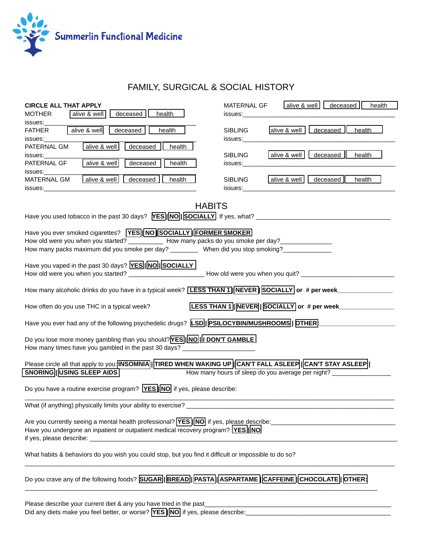

# FAMILY, SURGICAL & SOCIAL HISTORY

| <b>CIRCLE ALL THAT APPLY</b>                                                                                                                                                                                                   | MATERNAL GF                                                                                                                                                                                                                    | alive & well   deceased  <br>health               |  |  |
|--------------------------------------------------------------------------------------------------------------------------------------------------------------------------------------------------------------------------------|--------------------------------------------------------------------------------------------------------------------------------------------------------------------------------------------------------------------------------|---------------------------------------------------|--|--|
| deceased<br>health<br>alive & well<br><b>MOTHER</b>                                                                                                                                                                            | issues: and the set of the set of the set of the set of the set of the set of the set of the set of the set of the set of the set of the set of the set of the set of the set of the set of the set of the set of the set of t |                                                   |  |  |
| issues:                                                                                                                                                                                                                        |                                                                                                                                                                                                                                |                                                   |  |  |
| alive & well<br>deceased<br>health<br>FATHER                                                                                                                                                                                   | <b>SIBLING</b>                                                                                                                                                                                                                 | deceased<br>alive & well<br>health                |  |  |
| issues:                                                                                                                                                                                                                        | issues:                                                                                                                                                                                                                        |                                                   |  |  |
| alive & well<br>$decased$  <br>health<br>PATERNAL GM                                                                                                                                                                           |                                                                                                                                                                                                                                |                                                   |  |  |
| issues:                                                                                                                                                                                                                        | <b>SIBLING</b>                                                                                                                                                                                                                 | alive & well<br>$decessed$  <br>health            |  |  |
| alive & well<br>decased<br>health<br>PATERNAL GF                                                                                                                                                                               | issues:                                                                                                                                                                                                                        |                                                   |  |  |
| issues:                                                                                                                                                                                                                        |                                                                                                                                                                                                                                |                                                   |  |  |
| alive & well   deceased   health<br>MATERNAL GM                                                                                                                                                                                | <b>SIBLING</b>                                                                                                                                                                                                                 | alive & well<br>decased<br>health                 |  |  |
| issues: the contract of the contract of the contract of the contract of the contract of the contract of the contract of the contract of the contract of the contract of the contract of the contract of the contract of the co | issues:                                                                                                                                                                                                                        |                                                   |  |  |
|                                                                                                                                                                                                                                |                                                                                                                                                                                                                                |                                                   |  |  |
| <b>HABITS</b>                                                                                                                                                                                                                  |                                                                                                                                                                                                                                |                                                   |  |  |
|                                                                                                                                                                                                                                |                                                                                                                                                                                                                                |                                                   |  |  |
|                                                                                                                                                                                                                                |                                                                                                                                                                                                                                |                                                   |  |  |
| Have you ever smoked cigarettes? <b>YES NO SOCIALLY FORMER SMOKER</b>                                                                                                                                                          |                                                                                                                                                                                                                                |                                                   |  |  |
| How old were you when you started? _____________ How many packs do you smoke per day? ______________                                                                                                                           |                                                                                                                                                                                                                                |                                                   |  |  |
| How many packs maximum did you smoke per day? ___________ When did you stop smoking? ______________                                                                                                                            |                                                                                                                                                                                                                                |                                                   |  |  |
|                                                                                                                                                                                                                                |                                                                                                                                                                                                                                |                                                   |  |  |
| Have you vaped in the past 30 days? <b>YES   NO  SOCIALLY</b>                                                                                                                                                                  |                                                                                                                                                                                                                                |                                                   |  |  |
|                                                                                                                                                                                                                                |                                                                                                                                                                                                                                |                                                   |  |  |
|                                                                                                                                                                                                                                |                                                                                                                                                                                                                                |                                                   |  |  |
| How many alcoholic drinks do you have in a typical week? [LESS THAN 1] NEVER SOCIALLY or # per week____________                                                                                                                |                                                                                                                                                                                                                                |                                                   |  |  |
| How often do you use THC in a typical week?                                                                                                                                                                                    |                                                                                                                                                                                                                                | [LESS THAN 1] NEVER   SOCIALLY or # per week      |  |  |
|                                                                                                                                                                                                                                |                                                                                                                                                                                                                                |                                                   |  |  |
| Have you ever had any of the following psychedelic drugs? LSD  PSILOCYBIN/MUSHROOMS  DTHER                                                                                                                                     |                                                                                                                                                                                                                                |                                                   |  |  |
|                                                                                                                                                                                                                                |                                                                                                                                                                                                                                |                                                   |  |  |
| Do you lose more money gambling than you should? YES  NO  I DON'T GAMBLE                                                                                                                                                       |                                                                                                                                                                                                                                |                                                   |  |  |
| How many times have you gambled in the past 30 days?                                                                                                                                                                           |                                                                                                                                                                                                                                |                                                   |  |  |
|                                                                                                                                                                                                                                |                                                                                                                                                                                                                                |                                                   |  |  |
| Please circle all that apply to you: <b>INSOMNIA  TIRED WHEN WAKING UP CANT FALL ASLEEP  CANT STAY ASLEEP  </b>                                                                                                                |                                                                                                                                                                                                                                |                                                   |  |  |
| SNORING   USING SLEEP AIDS                                                                                                                                                                                                     |                                                                                                                                                                                                                                | How many hours of sleep do you average per night? |  |  |
|                                                                                                                                                                                                                                |                                                                                                                                                                                                                                |                                                   |  |  |
| Do you have a routine exercise program? $YES$ $NOS$ if yes, please describe:                                                                                                                                                   |                                                                                                                                                                                                                                |                                                   |  |  |
|                                                                                                                                                                                                                                |                                                                                                                                                                                                                                |                                                   |  |  |
| What (if anything) physically limits your ability to exercise?                                                                                                                                                                 |                                                                                                                                                                                                                                |                                                   |  |  |
|                                                                                                                                                                                                                                |                                                                                                                                                                                                                                |                                                   |  |  |
| Are you currently seeing a mental health professional? <b>YES NO</b> if yes, please describe:                                                                                                                                  |                                                                                                                                                                                                                                |                                                   |  |  |
| Have you undergone an inpatient or outpatient medical recovery program? [YES][NO                                                                                                                                               |                                                                                                                                                                                                                                |                                                   |  |  |
|                                                                                                                                                                                                                                |                                                                                                                                                                                                                                |                                                   |  |  |
|                                                                                                                                                                                                                                |                                                                                                                                                                                                                                |                                                   |  |  |
| What habits & behaviors do you wish you could stop, but you find it difficult or impossible to do so?                                                                                                                          |                                                                                                                                                                                                                                |                                                   |  |  |
|                                                                                                                                                                                                                                |                                                                                                                                                                                                                                |                                                   |  |  |
|                                                                                                                                                                                                                                |                                                                                                                                                                                                                                |                                                   |  |  |
| Do you crave any of the following foods? SUGAR  BREAD  PASTA  ASPARTAME CAFFEINE CHOCOLATE DTHER:                                                                                                                              |                                                                                                                                                                                                                                |                                                   |  |  |
|                                                                                                                                                                                                                                |                                                                                                                                                                                                                                |                                                   |  |  |
|                                                                                                                                                                                                                                |                                                                                                                                                                                                                                |                                                   |  |  |
| Please describe your current diet & any you have tried in the past                                                                                                                                                             |                                                                                                                                                                                                                                |                                                   |  |  |
| Did any diets make you feel better, or worse? <b>YES NO</b> if yes, please describe:                                                                                                                                           |                                                                                                                                                                                                                                |                                                   |  |  |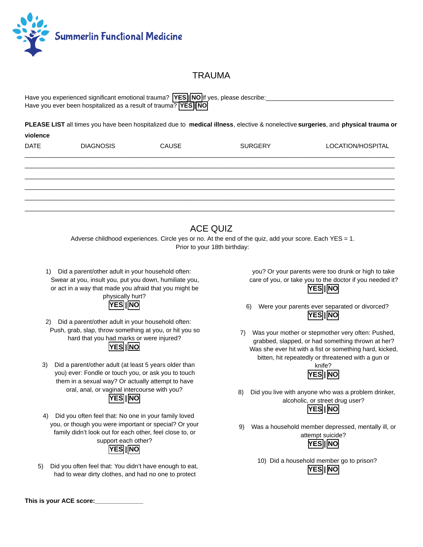

### TRAUMA

| Have you experienced significant emotional trauma? <b>YES MO</b> If yes, please describe: |  |
|-------------------------------------------------------------------------------------------|--|
| Have you ever been hospitalized as a result of trauma? <b>YES</b> NO                      |  |

 **PLEASE LIST** all times you have been hospitalized due to **medical illness** , elective & nonelective **surgeries** , and **physical trauma or** 

| violence    |                  |       |                |                   |
|-------------|------------------|-------|----------------|-------------------|
| <b>DATE</b> | <b>DIAGNOSIS</b> | CAUSE | <b>SURGERY</b> | LOCATION/HOSPITAL |
|             |                  |       |                |                   |
|             |                  |       |                |                   |
|             |                  |       |                |                   |
|             |                  |       |                |                   |
|             |                  |       |                |                   |
|             |                  |       |                |                   |
|             |                  |       |                |                   |

# ACE QUIZ

 Adverse childhood experiences. Circle yes or no. At the end of the quiz, add your score. Each YES = 1. Prior to your 18th birthday:

 1) Did a parent/other adult in your household often: Swear at you, insult you, put you down, humiliate you, or act in a way that made you afraid that you might be



 2) Did a parent/other adult in your household often: Push, grab, slap, throw something at you, or hit you so hard that you had marks or were injured?  **YES | NO** 

 3) Did a parent/other adult (at least 5 years older than you) ever: Fondle or touch you, or ask you to touch them in a sexual way? Or actually attempt to have oral, anal, or vaginal intercourse with you?



 4) Did you often feel that: No one in your family loved you, or though you were important or special? Or your family didn't look out for each other, feel close to, or support each other?



 5) Did you often feel that: You didn't have enough to eat, had to wear dirty clothes, and had no one to protect

 you? Or your parents were too drunk or high to take care of you, or take you to the doctor if you needed it? **YES||NO** 

- 6) Were your parents ever separated or divorced?  **YES | NO**
- 7) Was your mother or stepmother very often: Pushed, grabbed, slapped, or had something thrown at her? Was she ever hit with a fist or something hard, kicked, bitten, hit repeatedly or threatened with a gun or



 8) Did you live with anyone who was a problem drinker, alcoholic, or street drug user?



 9) Was a household member depressed, mentally ill, or attempt suicide?



 10) Did a household member go to prison?  **YES | NO** 

 **This is your ACE score:\_\_\_\_\_\_\_\_\_\_\_\_\_\_**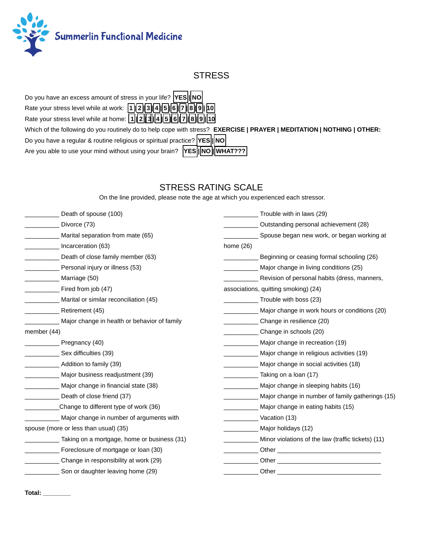

# **STRESS**

Do you have an excess amount of stress in your life? **YES** | NO

Rate your stress level while at work:  $\boxed{1}$  2  $\boxed{3}$  4  $\boxed{5}$  6  $\boxed{7}$  8  $\boxed{9}$   $\boxed{10}$ 

Rate your stress level while at home: **1 | 2 | 3 | 4 | 5 | 6 | 7 | 8 | 9 | 10** 

Which of the following do you routinely do to help cope with stress? **EXERCISE | PRAYER | MEDITATION | NOTHING | OTHER:** Do you have a regular & routine religious or spiritual practice? **YES** || NO Are you able to use your mind without using your brain? **YES INO WHAT???** 

# STRESS RATING SCALE

On the line provided, please note the age at which you experienced each stressor.

| Death of spouse (100)                        | Trouble with in laws (29)                          |
|----------------------------------------------|----------------------------------------------------|
| Divorce (73)                                 | Outstanding personal achievement (28)              |
| Marital separation from mate (65)            | Spouse began new work, or began working at         |
| Incarceration (63)                           | home $(26)$                                        |
| Death of close family member (63)            | Beginning or ceasing formal schooling (26)         |
| Personal injury or illness (53)              | Major change in living conditions (25)             |
| Marriage (50)                                | Revision of personal habits (dress, manners,       |
| Fired from job (47)                          | associations, quitting smoking) (24)               |
| Marital or similar reconciliation (45)       | Trouble with boss (23)                             |
| Retirement (45)                              | Major change in work hours or conditions (20)      |
| Major change in health or behavior of family | Change in resilience (20)                          |
| member (44)                                  | Change in schools (20)                             |
| Pregnancy (40)                               | Major change in recreation (19)                    |
| Sex difficulties (39)                        | Major change in religious activities (19)          |
| Addition to family (39)                      | Major change in social activities (18)             |
| Major business readjustment (39)             | Taking on a loan (17)                              |
| Major change in financial state (38)         | Major change in sleeping habits (16)               |
| Death of close friend (37)                   | Major change in number of family gatherings (15)   |
| Change to different type of work (36)        | Major change in eating habits (15)                 |
| Major change in number of arguments with     | $\sim$ Vacation (13)                               |
| spouse (more or less than usual) (35)        | Major holidays (12)                                |
| Taking on a mortgage, home or business (31)  | Minor violations of the law (traffic tickets) (11) |
| Foreclosure of mortgage or loan (30)         |                                                    |
| Change in responsibility at work (29)        |                                                    |
| Son or daughter leaving home (29)            | Other                                              |

 **Total: \_\_\_\_\_\_\_\_**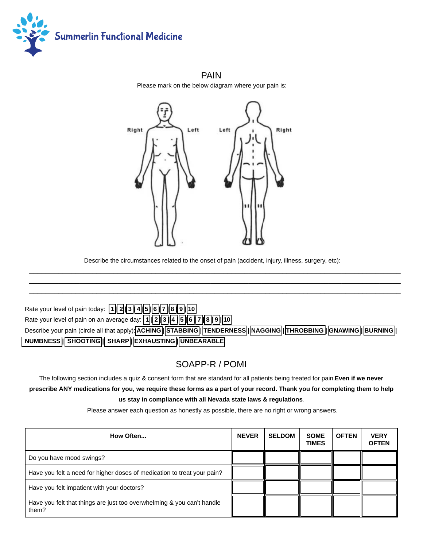

 PAIN Please mark on the below diagram where your pain is:



 Describe the circumstances related to the onset of pain (accident, injury, illness, surgery, etc):  $\_$ 

 $\_$  , and the set of the set of the set of the set of the set of the set of the set of the set of the set of the set of the set of the set of the set of the set of the set of the set of the set of the set of the set of th

| Rate your level of pain today: 1 2 3 4 5 6 7 8 9 10                                                      |
|----------------------------------------------------------------------------------------------------------|
| Rate your level of pain on an average day: [1] [2] [3] [4] [5] [6] [7] [8] [9] [10]                      |
| Describe your pain (circle all that apply): ACHING STABBING TENDERNESS MAGGING THROBBING GNAWING BURNING |
| NUMBNESS   SHOOTING   SHARP   EXHAUSTING   UNBEARABLE                                                    |

# SOAPP-R / POMI

 The following section includes a quiz & consent form that are standard for all patients being treated for pain. **Even if we never prescribe ANY medications for you, we require these forms as a part of your record. Thank you for completing them to help us stay in compliance with all Nevada state laws & regulations** .

Please answer each question as honestly as possible, there are no right or wrong answers.

| How Often                                                                       | <b>NEVER</b> | <b>SELDOM</b> | <b>SOME</b><br><b>TIMES</b> | <b>OFTEN</b> | <b>VERY</b><br><b>OFTEN</b> |
|---------------------------------------------------------------------------------|--------------|---------------|-----------------------------|--------------|-----------------------------|
| Do you have mood swings?                                                        |              |               |                             |              |                             |
| Have you felt a need for higher doses of medication to treat your pain?         |              |               |                             |              |                             |
| Have you felt impatient with your doctors?                                      |              |               |                             |              |                             |
| Have you felt that things are just too overwhelming & you can't handle<br>them? |              |               |                             |              |                             |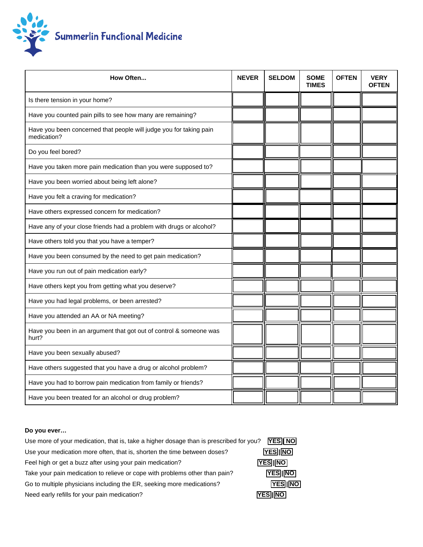

| How Often                                                                         | <b>NEVER</b> | <b>SELDOM</b> | <b>SOME</b><br><b>TIMES</b> | <b>OFTEN</b> | <b>VERY</b><br><b>OFTEN</b> |
|-----------------------------------------------------------------------------------|--------------|---------------|-----------------------------|--------------|-----------------------------|
| Is there tension in your home?                                                    |              |               |                             |              |                             |
| Have you counted pain pills to see how many are remaining?                        |              |               |                             |              |                             |
| Have you been concerned that people will judge you for taking pain<br>medication? |              |               |                             |              |                             |
| Do you feel bored?                                                                |              |               |                             |              |                             |
| Have you taken more pain medication than you were supposed to?                    |              |               |                             |              |                             |
| Have you been worried about being left alone?                                     |              |               |                             |              |                             |
| Have you felt a craving for medication?                                           |              |               |                             |              |                             |
| Have others expressed concern for medication?                                     |              |               |                             |              |                             |
| Have any of your close friends had a problem with drugs or alcohol?               |              |               |                             |              |                             |
| Have others told you that you have a temper?                                      |              |               |                             |              |                             |
| Have you been consumed by the need to get pain medication?                        |              |               |                             |              |                             |
| Have you run out of pain medication early?                                        |              |               |                             |              |                             |
| Have others kept you from getting what you deserve?                               |              |               |                             |              |                             |
| Have you had legal problems, or been arrested?                                    |              |               |                             |              |                             |
| Have you attended an AA or NA meeting?                                            |              |               |                             |              |                             |
| Have you been in an argument that got out of control & someone was<br>hurt?       |              |               |                             |              |                             |
| Have you been sexually abused?                                                    |              |               |                             |              |                             |
| Have others suggested that you have a drug or alcohol problem?                    |              |               |                             |              |                             |
| Have you had to borrow pain medication from family or friends?                    |              |               |                             |              |                             |
| Have you been treated for an alcohol or drug problem?                             |              |               |                             |              |                             |

### **Do you ever…**

| Use more of your medication, that is, take a higher dosage than is prescribed for you? | <b>YES</b> NO   |
|----------------------------------------------------------------------------------------|-----------------|
| Use your medication more often, that is, shorten the time between doses?               | <b>YES INO</b>  |
| Feel high or get a buzz after using your pain medication?                              | <b>YES INO</b>  |
| Take your pain medication to relieve or cope with problems other than pain?            | <b>YESIINO</b>  |
| Go to multiple physicians including the ER, seeking more medications?                  | YES   NO        |
| Need early refills for your pain medication?                                           | <b>YESIIINO</b> |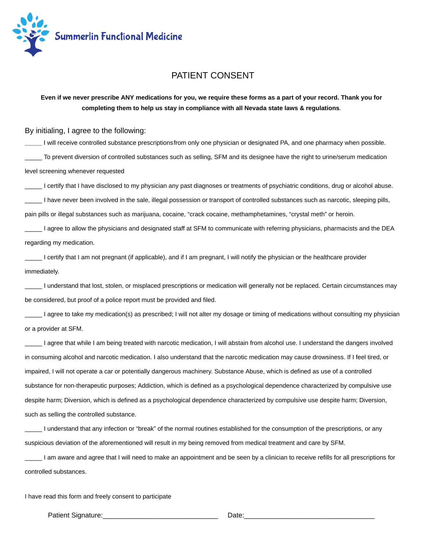

### PATIENT CONSENT

 **Even if we never prescribe ANY medications for you, we require these forms as a part of your record. Thank you for completing them to help us stay in compliance with all Nevada state laws & regulations** .

### By initialing, I agree to the following:

 **\_\_\_\_\_** I will receive controlled substance prescriptions from only one physician or designated PA, and one pharmacy when possible. To prevent diversion of controlled substances such as selling, SFM and its designee have the right to urine/serum medication level screening whenever requested

I certify that I have disclosed to my physician any past diagnoses or treatments of psychiatric conditions, drug or alcohol abuse.

I have never been involved in the sale, illegal possession or transport of controlled substances such as narcotic, sleeping pills,

pain pills or illegal substances such as marijuana, cocaine, "crack cocaine, methamphetamines, "crystal meth" or heroin.

 \_\_\_\_\_ I agree to allow the physicians and designated staff at SFM to communicate with referring physicians, pharmacists and the DEA regarding my medication.

 \_\_\_\_\_ I certify that I am not pregnant (if applicable), and if I am pregnant, I will notify the physician or the healthcare provider immediately.

 \_\_\_\_\_ I understand that lost, stolen, or misplaced prescriptions or medication will generally not be replaced. Certain circumstances may be considered, but proof of a police report must be provided and filed.

I agree to take my medication(s) as prescribed; I will not alter my dosage or timing of medications without consulting my physician or a provider at SFM.

 \_\_\_\_\_ I agree that while I am being treated with narcotic medication, I will abstain from alcohol use. I understand the dangers involved in consuming alcohol and narcotic medication. I also understand that the narcotic medication may cause drowsiness. If I feel tired, or impaired, I will not operate a car or potentially dangerous machinery. Substance Abuse, which is defined as use of a controlled substance for non-therapeutic purposes; Addiction, which is defined as a psychological dependence characterized by compulsive use despite harm; Diversion, which is defined as a psychological dependence characterized by compulsive use despite harm; Diversion, such as selling the controlled substance.

 \_\_\_\_\_ I understand that any infection or "break" of the normal routines established for the consumption of the prescriptions, or any suspicious deviation of the aforementioned will result in my being removed from medical treatment and care by SFM.

 \_\_\_\_\_ I am aware and agree that I will need to make an appointment and be seen by a clinician to receive refills for all prescriptions for controlled substances.

I have read this form and freely consent to participate

Patient Signature: etc. All the state of the state of the Date: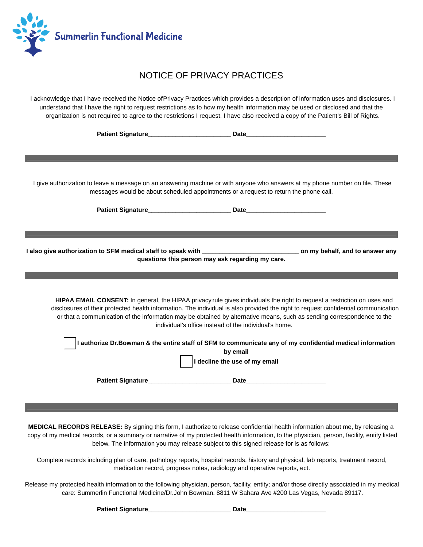

# NOTICE OF PRIVACY PRACTICES

 I acknowledge that I have received the Notice of Privacy Practices which provides a description of information uses and disclosures. I understand that I have the right to request restrictions as to how my health information may be used or disclosed and that the organization is not required to agree to the restrictions I request. I have also received a copy of the Patient's Bill of Rights.

|                                                                                                           | I give authorization to leave a message on an answering machine or with anyone who answers at my phone number on file. These<br>messages would be about scheduled appointments or a request to return the phone call.                                                                                                                                                                                                                             |  |  |  |
|-----------------------------------------------------------------------------------------------------------|---------------------------------------------------------------------------------------------------------------------------------------------------------------------------------------------------------------------------------------------------------------------------------------------------------------------------------------------------------------------------------------------------------------------------------------------------|--|--|--|
|                                                                                                           |                                                                                                                                                                                                                                                                                                                                                                                                                                                   |  |  |  |
|                                                                                                           |                                                                                                                                                                                                                                                                                                                                                                                                                                                   |  |  |  |
|                                                                                                           |                                                                                                                                                                                                                                                                                                                                                                                                                                                   |  |  |  |
|                                                                                                           | I also give authorization to SFM medical staff to speak with ___________________________________ on my behalf, and to answer any<br>questions this person may ask regarding my care.                                                                                                                                                                                                                                                              |  |  |  |
|                                                                                                           |                                                                                                                                                                                                                                                                                                                                                                                                                                                   |  |  |  |
|                                                                                                           | HIPAA EMAIL CONSENT: In general, the HIPAA privacy rule gives individuals the right to request a restriction on uses and<br>disclosures of their protected health information. The individual is also provided the right to request confidential communication<br>or that a communication of the information may be obtained by alternative means, such as sending correspondence to the<br>individual's office instead of the individual's home. |  |  |  |
| I authorize Dr.Bowman & the entire staff of SFM to communicate any of my confidential medical information |                                                                                                                                                                                                                                                                                                                                                                                                                                                   |  |  |  |
|                                                                                                           | by email                                                                                                                                                                                                                                                                                                                                                                                                                                          |  |  |  |
|                                                                                                           | I decline the use of my email                                                                                                                                                                                                                                                                                                                                                                                                                     |  |  |  |
|                                                                                                           |                                                                                                                                                                                                                                                                                                                                                                                                                                                   |  |  |  |
|                                                                                                           |                                                                                                                                                                                                                                                                                                                                                                                                                                                   |  |  |  |
|                                                                                                           |                                                                                                                                                                                                                                                                                                                                                                                                                                                   |  |  |  |
|                                                                                                           |                                                                                                                                                                                                                                                                                                                                                                                                                                                   |  |  |  |

 **MEDICAL RECORDS RELEASE:** By signing this form, I authorize to release confidential health information about me, by releasing a copy of my medical records, or a summary or narrative of my protected health information, to the physician, person, facility, entity listed below. The information you may release subject to this signed release for is as follows:

 Complete records including plan of care, pathology reports, hospital records, history and physical, lab reports, treatment record, medication record, progress notes, radiology and operative reports, ect.

 Release my protected health information to the following physician, person, facility, entity; and/or those directly associated in my medical care: Summerlin Functional Medicine/Dr.John Bowman. 8811 W Sahara Ave #200 Las Vegas, Nevada 89117.

**Patient Signature** <br> **Patient Signature**